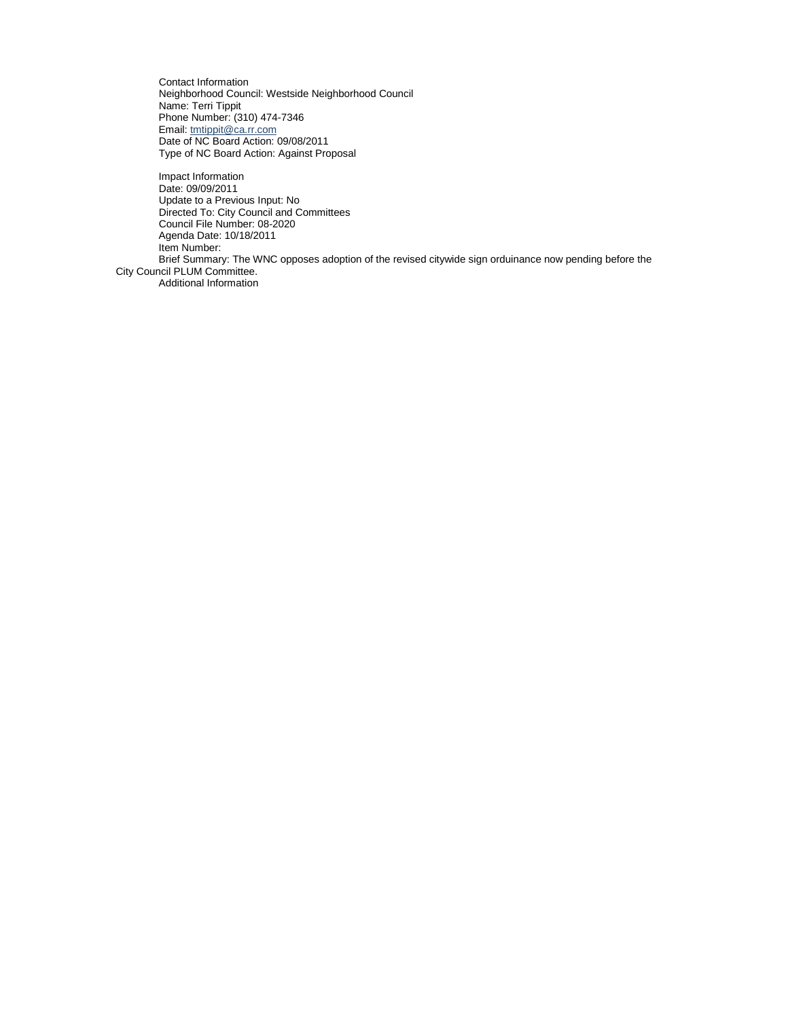Contact Information Neighborhood Council: Westside Neighborhood Council Name: Terri Tippit Phone Number: (310) 474-7346 Email: [tmtippit@ca.rr.com](mailto:tmtippit@ca.rr.com) Date of NC Board Action: 09/08/2011 Type of NC Board Action: Against Proposal

Impact Information Date: 09/09/2011 Update to a Previous Input: No Directed To: City Council and Committees Council File Number: 08-2020 Agenda Date: 10/18/2011 Item Number: Brief Summary: The WNC opposes adoption of the revised citywide sign orduinance now pending before the City Council PLUM Committee. Additional Information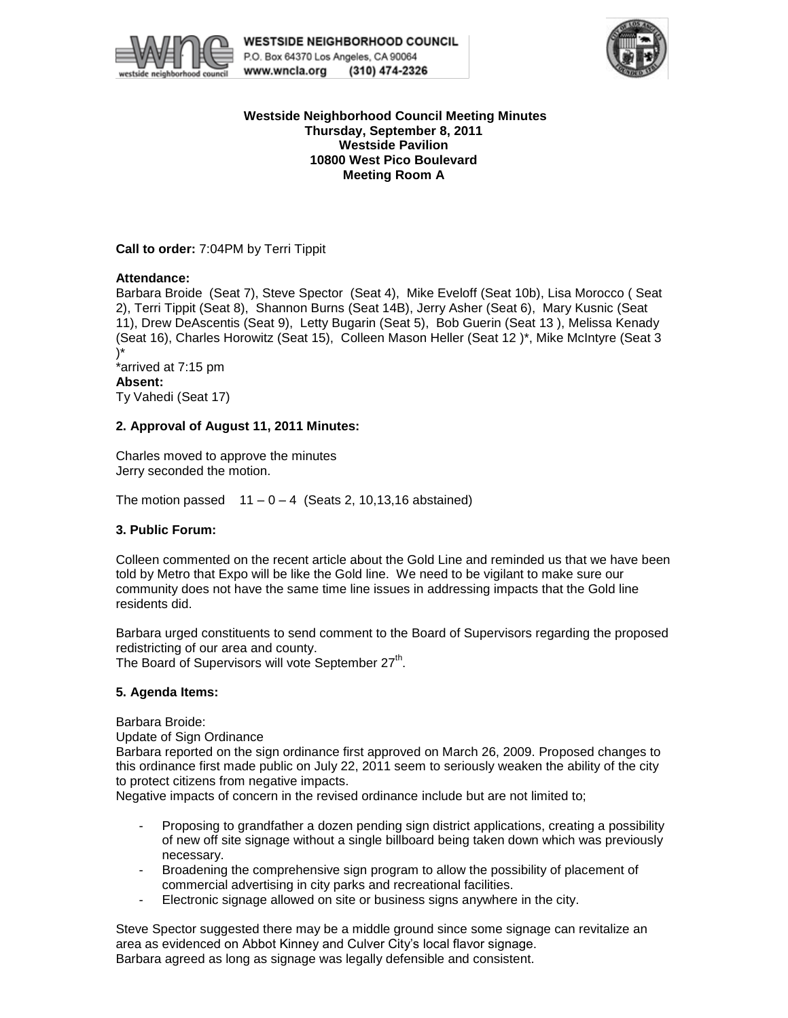



### **Westside Neighborhood Council Meeting Minutes Thursday, September 8, 2011 Westside Pavilion 10800 West Pico Boulevard Meeting Room A**

**Call to order:** 7:04PM by Terri Tippit

## **Attendance:**

Barbara Broide (Seat 7), Steve Spector (Seat 4), Mike Eveloff (Seat 10b), Lisa Morocco ( Seat 2), Terri Tippit (Seat 8), Shannon Burns (Seat 14B), Jerry Asher (Seat 6), Mary Kusnic (Seat 11), Drew DeAscentis (Seat 9), Letty Bugarin (Seat 5), Bob Guerin (Seat 13 ), Melissa Kenady (Seat 16), Charles Horowitz (Seat 15), Colleen Mason Heller (Seat 12 )\*, Mike McIntyre (Seat 3 )\*

\*arrived at 7:15 pm **Absent:** Ty Vahedi (Seat 17)

# **2. Approval of August 11, 2011 Minutes:**

Charles moved to approve the minutes Jerry seconded the motion.

The motion passed  $11 - 0 - 4$  (Seats 2, 10,13,16 abstained)

# **3. Public Forum:**

Colleen commented on the recent article about the Gold Line and reminded us that we have been told by Metro that Expo will be like the Gold line. We need to be vigilant to make sure our community does not have the same time line issues in addressing impacts that the Gold line residents did.

Barbara urged constituents to send comment to the Board of Supervisors regarding the proposed redistricting of our area and county.

The Board of Supervisors will vote September 27<sup>th</sup>.

### **5. Agenda Items:**

Barbara Broide:

Update of Sign Ordinance

Barbara reported on the sign ordinance first approved on March 26, 2009. Proposed changes to this ordinance first made public on July 22, 2011 seem to seriously weaken the ability of the city to protect citizens from negative impacts.

Negative impacts of concern in the revised ordinance include but are not limited to;

- Proposing to grandfather a dozen pending sign district applications, creating a possibility of new off site signage without a single billboard being taken down which was previously necessary.
- Broadening the comprehensive sign program to allow the possibility of placement of commercial advertising in city parks and recreational facilities.
- Electronic signage allowed on site or business signs anywhere in the city.

Steve Spector suggested there may be a middle ground since some signage can revitalize an area as evidenced on Abbot Kinney and Culver City's local flavor signage. Barbara agreed as long as signage was legally defensible and consistent.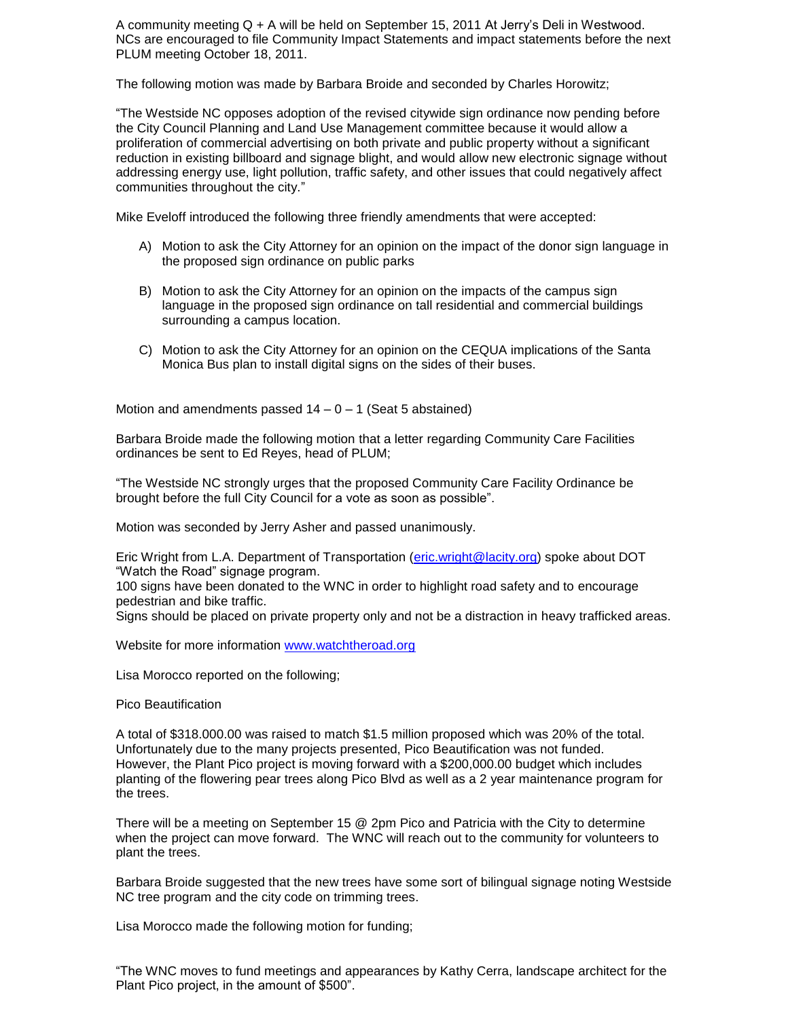A community meeting Q + A will be held on September 15, 2011 At Jerry's Deli in Westwood. NCs are encouraged to file Community Impact Statements and impact statements before the next PLUM meeting October 18, 2011.

The following motion was made by Barbara Broide and seconded by Charles Horowitz;

"The Westside NC opposes adoption of the revised citywide sign ordinance now pending before the City Council Planning and Land Use Management committee because it would allow a proliferation of commercial advertising on both private and public property without a significant reduction in existing billboard and signage blight, and would allow new electronic signage without addressing energy use, light pollution, traffic safety, and other issues that could negatively affect communities throughout the city."

Mike Eveloff introduced the following three friendly amendments that were accepted:

- A) Motion to ask the City Attorney for an opinion on the impact of the donor sign language in the proposed sign ordinance on public parks
- B) Motion to ask the City Attorney for an opinion on the impacts of the campus sign language in the proposed sign ordinance on tall residential and commercial buildings surrounding a campus location.
- C) Motion to ask the City Attorney for an opinion on the CEQUA implications of the Santa Monica Bus plan to install digital signs on the sides of their buses.

Motion and amendments passed  $14 - 0 - 1$  (Seat 5 abstained)

Barbara Broide made the following motion that a letter regarding Community Care Facilities ordinances be sent to Ed Reyes, head of PLUM;

"The Westside NC strongly urges that the proposed Community Care Facility Ordinance be brought before the full City Council for a vote as soon as possible".

Motion was seconded by Jerry Asher and passed unanimously.

Eric Wright from L.A. Department of Transportation [\(eric.wright@lacity.org\)](mailto:eric.wright@lacity.org) spoke about DOT "Watch the Road" signage program.

100 signs have been donated to the WNC in order to highlight road safety and to encourage pedestrian and bike traffic.

Signs should be placed on private property only and not be a distraction in heavy trafficked areas.

Website for more information [www.watchtheroad.org](http://www.watchtheroad.org/)

Lisa Morocco reported on the following;

Pico Beautification

A total of \$318.000.00 was raised to match \$1.5 million proposed which was 20% of the total. Unfortunately due to the many projects presented, Pico Beautification was not funded. However, the Plant Pico project is moving forward with a \$200,000.00 budget which includes planting of the flowering pear trees along Pico Blvd as well as a 2 year maintenance program for the trees.

There will be a meeting on September 15 @ 2pm Pico and Patricia with the City to determine when the project can move forward. The WNC will reach out to the community for volunteers to plant the trees.

Barbara Broide suggested that the new trees have some sort of bilingual signage noting Westside NC tree program and the city code on trimming trees.

Lisa Morocco made the following motion for funding;

"The WNC moves to fund meetings and appearances by Kathy Cerra, landscape architect for the Plant Pico project, in the amount of \$500".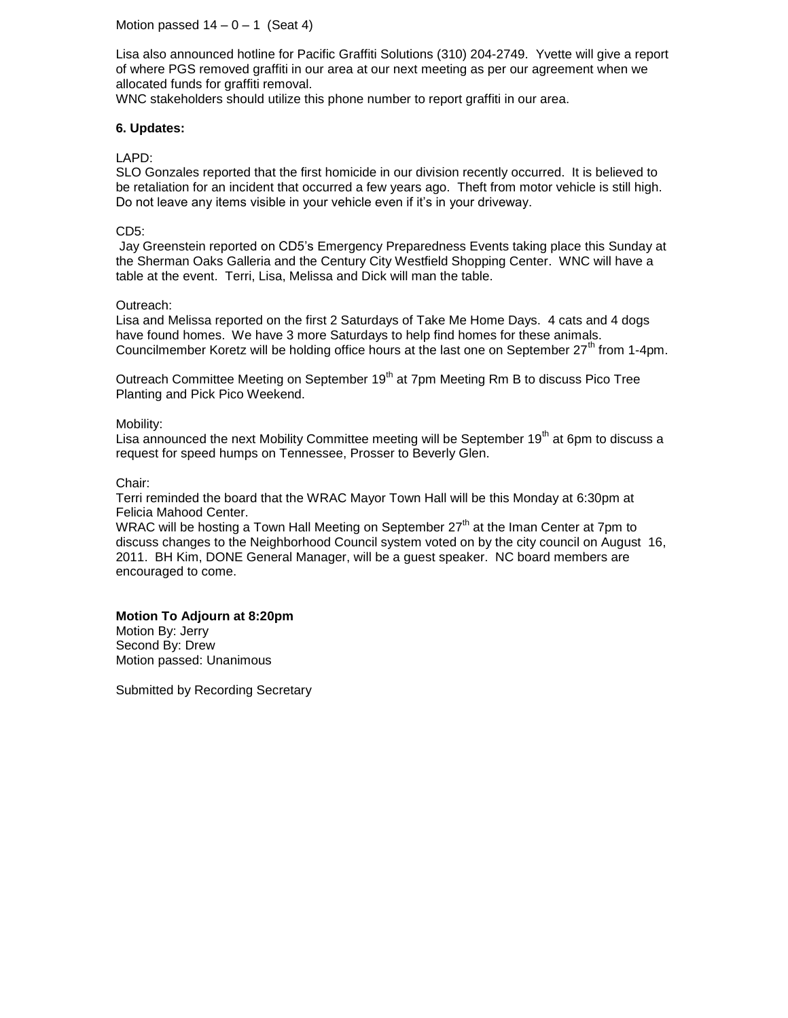Motion passed  $14 - 0 - 1$  (Seat 4)

Lisa also announced hotline for Pacific Graffiti Solutions (310) 204-2749. Yvette will give a report of where PGS removed graffiti in our area at our next meeting as per our agreement when we allocated funds for graffiti removal.

WNC stakeholders should utilize this phone number to report graffiti in our area.

### **6. Updates:**

### LAPD:

SLO Gonzales reported that the first homicide in our division recently occurred. It is believed to be retaliation for an incident that occurred a few years ago. Theft from motor vehicle is still high. Do not leave any items visible in your vehicle even if it's in your driveway.

### CD5:

Jay Greenstein reported on CD5's Emergency Preparedness Events taking place this Sunday at the Sherman Oaks Galleria and the Century City Westfield Shopping Center. WNC will have a table at the event. Terri, Lisa, Melissa and Dick will man the table.

#### Outreach:

Lisa and Melissa reported on the first 2 Saturdays of Take Me Home Days. 4 cats and 4 dogs have found homes. We have 3 more Saturdays to help find homes for these animals. Councilmember Koretz will be holding office hours at the last one on September  $27<sup>th</sup>$  from 1-4pm.

Outreach Committee Meeting on September 19<sup>th</sup> at 7pm Meeting Rm B to discuss Pico Tree Planting and Pick Pico Weekend.

#### Mobility:

Lisa announced the next Mobility Committee meeting will be September 19<sup>th</sup> at 6pm to discuss a request for speed humps on Tennessee, Prosser to Beverly Glen.

#### Chair:

Terri reminded the board that the WRAC Mayor Town Hall will be this Monday at 6:30pm at Felicia Mahood Center.

WRAC will be hosting a Town Hall Meeting on September  $27<sup>th</sup>$  at the Iman Center at 7pm to discuss changes to the Neighborhood Council system voted on by the city council on August 16, 2011. BH Kim, DONE General Manager, will be a guest speaker. NC board members are encouraged to come.

#### **Motion To Adjourn at 8:20pm** Motion By: Jerry Second By: Drew

Motion passed: Unanimous

Submitted by Recording Secretary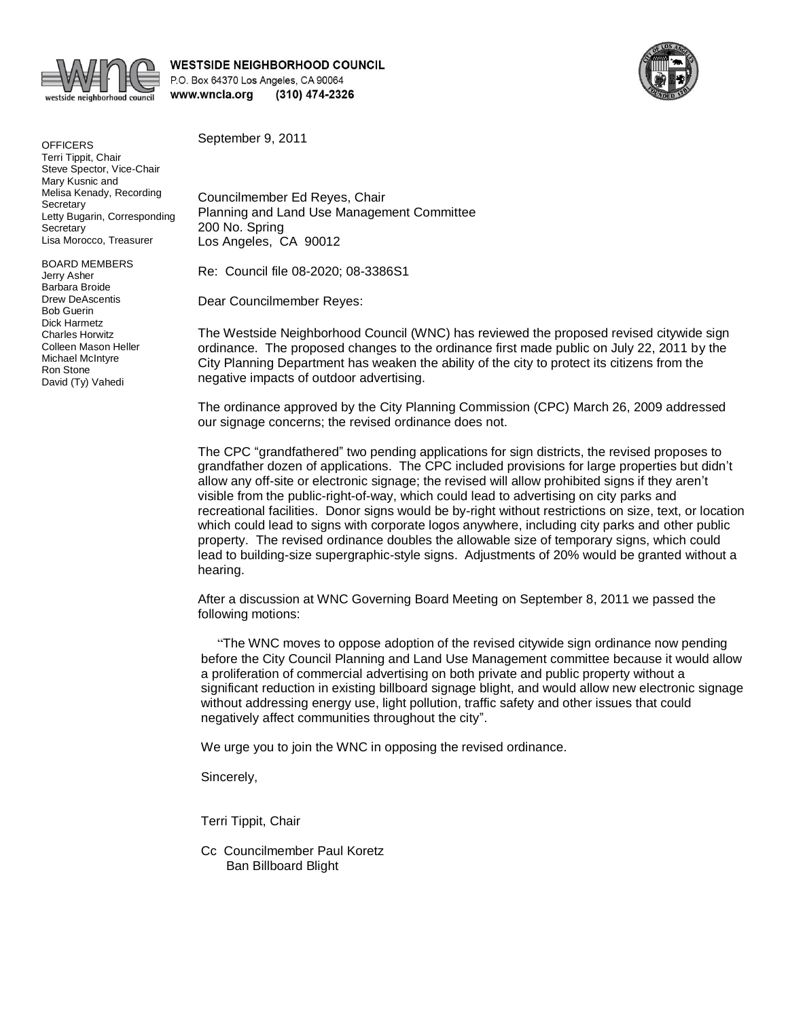

**WESTSIDE NEIGHBORHOOD COUNCIL** P.O. Box 64370 Los Angeles, CA 90064 www.wncla.org (310) 474-2326



**OFFICERS** Terri Tippit, Chair Steve Spector, Vice-Chair Mary Kusnic and Melisa Kenady, Recording **Secretary** Letty Bugarin, Corresponding **Secretary** Lisa Morocco, Treasurer

BOARD MEMBERS Jerry Asher Barbara Broide Drew DeAscentis Bob Guerin Dick Harmetz Charles Horwitz Colleen Mason Heller Michael McIntyre Ron Stone David (Ty) Vahedi

September 9, 2011

Councilmember Ed Reyes, Chair Planning and Land Use Management Committee 200 No. Spring Los Angeles, CA 90012

Re: Council file 08-2020; 08-3386S1

Dear Councilmember Reyes:

The Westside Neighborhood Council (WNC) has reviewed the proposed revised citywide sign ordinance. The proposed changes to the ordinance first made public on July 22, 2011 by the City Planning Department has weaken the ability of the city to protect its citizens from the negative impacts of outdoor advertising.

The ordinance approved by the City Planning Commission (CPC) March 26, 2009 addressed our signage concerns; the revised ordinance does not.

The CPC "grandfathered" two pending applications for sign districts, the revised proposes to grandfather dozen of applications. The CPC included provisions for large properties but didn't allow any off-site or electronic signage; the revised will allow prohibited signs if they aren't visible from the public-right-of-way, which could lead to advertising on city parks and recreational facilities. Donor signs would be by-right without restrictions on size, text, or location which could lead to signs with corporate logos anywhere, including city parks and other public property. The revised ordinance doubles the allowable size of temporary signs, which could lead to building-size supergraphic-style signs. Adjustments of 20% would be granted without a hearing.

After a discussion at WNC Governing Board Meeting on September 8, 2011 we passed the following motions:

 "The WNC moves to oppose adoption of the revised citywide sign ordinance now pending before the City Council Planning and Land Use Management committee because it would allow a proliferation of commercial advertising on both private and public property without a significant reduction in existing billboard signage blight, and would allow new electronic signage without addressing energy use, light pollution, traffic safety and other issues that could negatively affect communities throughout the city".

We urge you to join the WNC in opposing the revised ordinance.

Sincerely,

Terri Tippit, Chair

Cc Councilmember Paul Koretz Ban Billboard Blight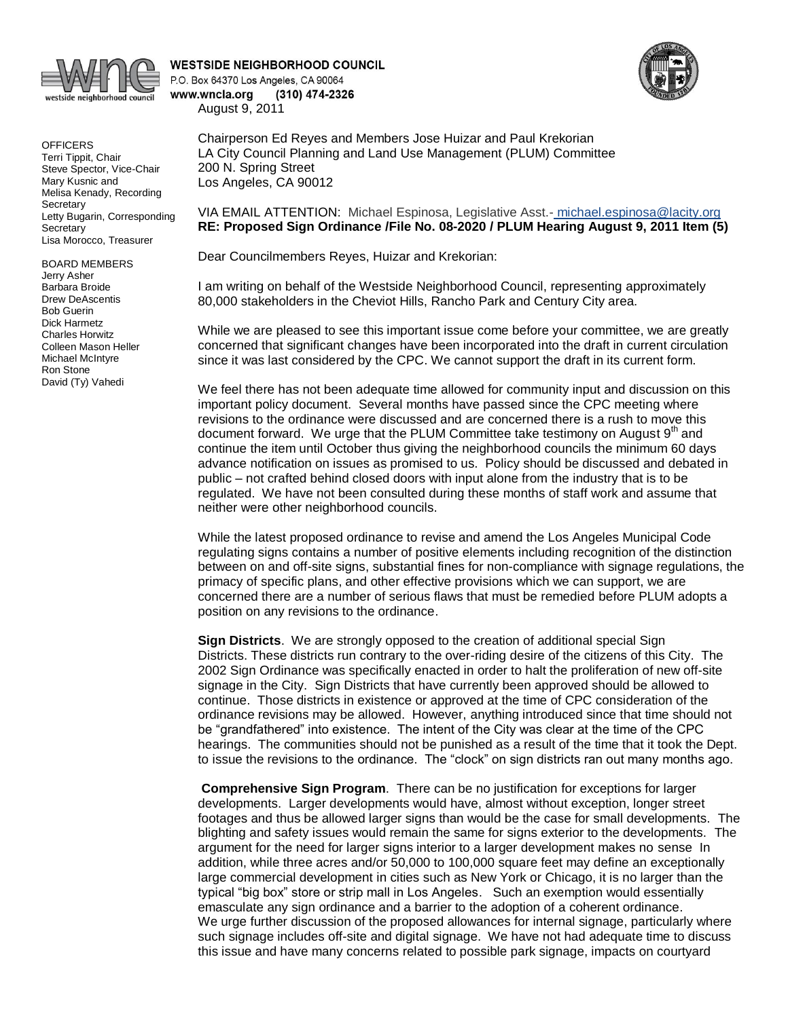

**OFFICERS** Terri Tippit, Chair Steve Spector, Vice-Chair Mary Kusnic and Melisa Kenady, Recording **Secretary** Letty Bugarin, Corresponding **Secretary** Lisa Morocco, Treasurer

BOARD MEMBERS Jerry Asher Barbara Broide Drew DeAscentis Bob Guerin Dick Harmetz Charles Horwitz Colleen Mason Heller Michael McIntyre Ron Stone David (Ty) Vahedi

**WESTSIDE NEIGHBORHOOD COUNCIL** P.O. Box 64370 Los Angeles, CA 90064 www.wncla.org (310) 474-2326

August 9, 2011

Chairperson Ed Reyes and Members Jose Huizar and Paul Krekorian LA City Council Planning and Land Use Management (PLUM) Committee 200 N. Spring Street Los Angeles, CA 90012

VIA EMAIL ATTENTION: Michael Espinosa, Legislative Asst.- [michael.espinosa@lacity.org](mailto:michael.espinosa@lacity.org) **RE: Proposed Sign Ordinance /File No. 08-2020 / PLUM Hearing August 9, 2011 Item (5)**

Dear Councilmembers Reyes, Huizar and Krekorian:

I am writing on behalf of the Westside Neighborhood Council, representing approximately 80,000 stakeholders in the Cheviot Hills, Rancho Park and Century City area.

While we are pleased to see this important issue come before your committee, we are greatly concerned that significant changes have been incorporated into the draft in current circulation since it was last considered by the CPC. We cannot support the draft in its current form.

We feel there has not been adequate time allowed for community input and discussion on this important policy document. Several months have passed since the CPC meeting where revisions to the ordinance were discussed and are concerned there is a rush to move this document forward. We urge that the PLUM Committee take testimony on August 9<sup>th</sup> and continue the item until October thus giving the neighborhood councils the minimum 60 days advance notification on issues as promised to us. Policy should be discussed and debated in public – not crafted behind closed doors with input alone from the industry that is to be regulated. We have not been consulted during these months of staff work and assume that neither were other neighborhood councils.

While the latest proposed ordinance to revise and amend the Los Angeles Municipal Code regulating signs contains a number of positive elements including recognition of the distinction between on and off-site signs, substantial fines for non-compliance with signage regulations, the primacy of specific plans, and other effective provisions which we can support, we are concerned there are a number of serious flaws that must be remedied before PLUM adopts a position on any revisions to the ordinance.

**Sign Districts**. We are strongly opposed to the creation of additional special Sign Districts. These districts run contrary to the over-riding desire of the citizens of this City. The 2002 Sign Ordinance was specifically enacted in order to halt the proliferation of new off-site signage in the City. Sign Districts that have currently been approved should be allowed to continue. Those districts in existence or approved at the time of CPC consideration of the ordinance revisions may be allowed. However, anything introduced since that time should not be "grandfathered" into existence. The intent of the City was clear at the time of the CPC hearings. The communities should not be punished as a result of the time that it took the Dept. to issue the revisions to the ordinance. The "clock" on sign districts ran out many months ago.

**Comprehensive Sign Program**. There can be no justification for exceptions for larger developments. Larger developments would have, almost without exception, longer street footages and thus be allowed larger signs than would be the case for small developments. The blighting and safety issues would remain the same for signs exterior to the developments. The argument for the need for larger signs interior to a larger development makes no sense In addition, while three acres and/or 50,000 to 100,000 square feet may define an exceptionally large commercial development in cities such as New York or Chicago, it is no larger than the typical "big box" store or strip mall in Los Angeles. Such an exemption would essentially emasculate any sign ordinance and a barrier to the adoption of a coherent ordinance. We urge further discussion of the proposed allowances for internal signage, particularly where such signage includes off-site and digital signage. We have not had adequate time to discuss this issue and have many concerns related to possible park signage, impacts on courtyard